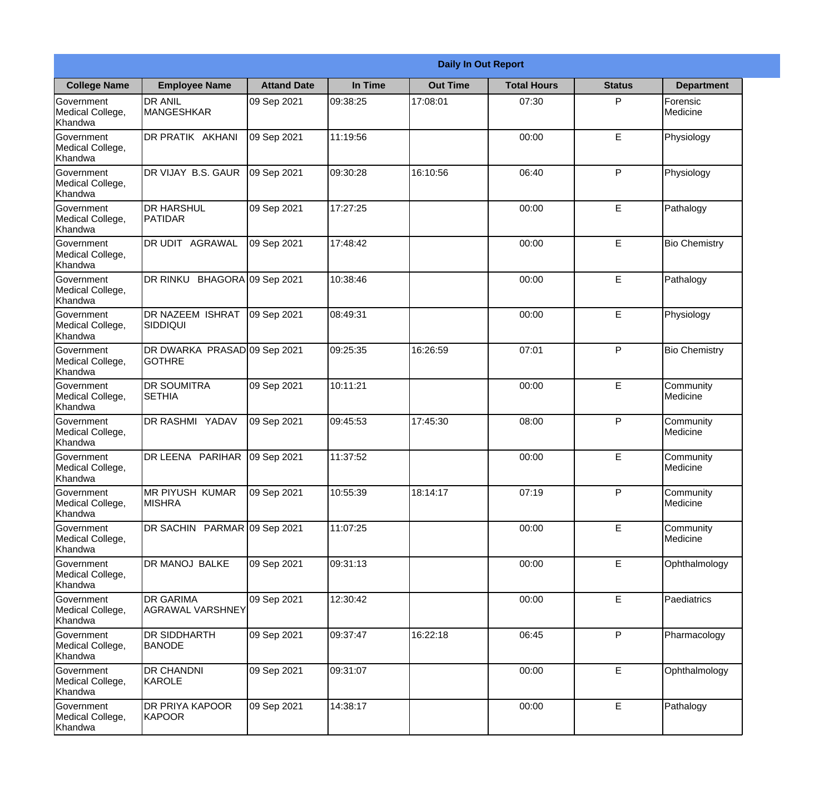|                                                  |                                               |                    |          | <b>Daily In Out Report</b> |                    |               |                       |
|--------------------------------------------------|-----------------------------------------------|--------------------|----------|----------------------------|--------------------|---------------|-----------------------|
| <b>College Name</b>                              | <b>Employee Name</b>                          | <b>Attand Date</b> | In Time  | <b>Out Time</b>            | <b>Total Hours</b> | <b>Status</b> | <b>Department</b>     |
| Government<br>Medical College,<br>Khandwa        | <b>DR ANIL</b><br><b>MANGESHKAR</b>           | 09 Sep 2021        | 09:38:25 | 17:08:01                   | 07:30              | P             | Forensic<br>Medicine  |
| Government<br>Medical College,<br>Khandwa        | DR PRATIK AKHANI                              | 09 Sep 2021        | 11:19:56 |                            | 00:00              | E             | Physiology            |
| <b>Government</b><br>Medical College,<br>Khandwa | <b>IDR VIJAY B.S. GAUR</b>                    | 09 Sep 2021        | 09:30:28 | 16:10:56                   | 06:40              | P             | Physiology            |
| Government<br>Medical College,<br>Khandwa        | <b>DR HARSHUL</b><br>PATIDAR                  | 09 Sep 2021        | 17:27:25 |                            | 00:00              | E             | Pathalogy             |
| Government<br>Medical College,<br>Khandwa        | <b>DR UDIT AGRAWAL</b>                        | 09 Sep 2021        | 17:48:42 |                            | 00:00              | E             | <b>Bio Chemistry</b>  |
| Government<br>Medical College,<br>Khandwa        | DR RINKU BHAGORA 09 Sep 2021                  |                    | 10:38:46 |                            | 00:00              | E             | Pathalogy             |
| Government<br>Medical College,<br>Khandwa        | DR NAZEEM ISHRAT<br>SIDDIQUI                  | 09 Sep 2021        | 08:49:31 |                            | 00:00              | E             | Physiology            |
| Government<br>Medical College,<br>Khandwa        | DR DWARKA PRASAD 09 Sep 2021<br><b>GOTHRE</b> |                    | 09:25:35 | 16:26:59                   | 07:01              | P             | <b>Bio Chemistry</b>  |
| Government<br>Medical College,<br>Khandwa        | <b>DR SOUMITRA</b><br><b>SETHIA</b>           | 09 Sep 2021        | 10:11:21 |                            | 00:00              | E             | Community<br>Medicine |
| Government<br>Medical College,<br>Khandwa        | DR RASHMI YADAV                               | 09 Sep 2021        | 09:45:53 | 17:45:30                   | 08:00              | P             | Community<br>Medicine |
| Government<br>Medical College,<br>Khandwa        | DR LEENA PARIHAR                              | 09 Sep 2021        | 11:37:52 |                            | 00:00              | E             | Community<br>Medicine |
| Government<br>Medical College,<br>Khandwa        | MR PIYUSH KUMAR<br><b>MISHRA</b>              | 09 Sep 2021        | 10:55:39 | 18:14:17                   | 07:19              | P             | Community<br>Medicine |
| Government<br>Medical College,<br>Khandwa        | DR SACHIN PARMAR 09 Sep 2021                  |                    | 11:07:25 |                            | 00:00              | E             | Community<br>Medicine |
| Government<br>Medical College,<br>Khandwa        | DR MANOJ BALKE                                | 09 Sep 2021        | 09:31:13 |                            | 00:00              | E             | Ophthalmology         |
| Government<br>Medical College,<br>Khandwa        | <b>IDR GARIMA</b><br>AGRAWAL VARSHNEY         | 09 Sep 2021        | 12:30:42 |                            | 00:00              | E             | Paediatrics           |
| Government<br>Medical College,<br>Khandwa        | <b>DR SIDDHARTH</b><br><b>BANODE</b>          | 09 Sep 2021        | 09:37:47 | 16:22:18                   | 06:45              | P             | Pharmacology          |
| Government<br>Medical College,<br>Khandwa        | <b>DR CHANDNI</b><br>KAROLE                   | 09 Sep 2021        | 09:31:07 |                            | 00:00              | E             | Ophthalmology         |
| Government<br>Medical College,<br>Khandwa        | <b>DR PRIYA KAPOOR</b><br>KAPOOR              | 09 Sep 2021        | 14:38:17 |                            | 00:00              | E             | Pathalogy             |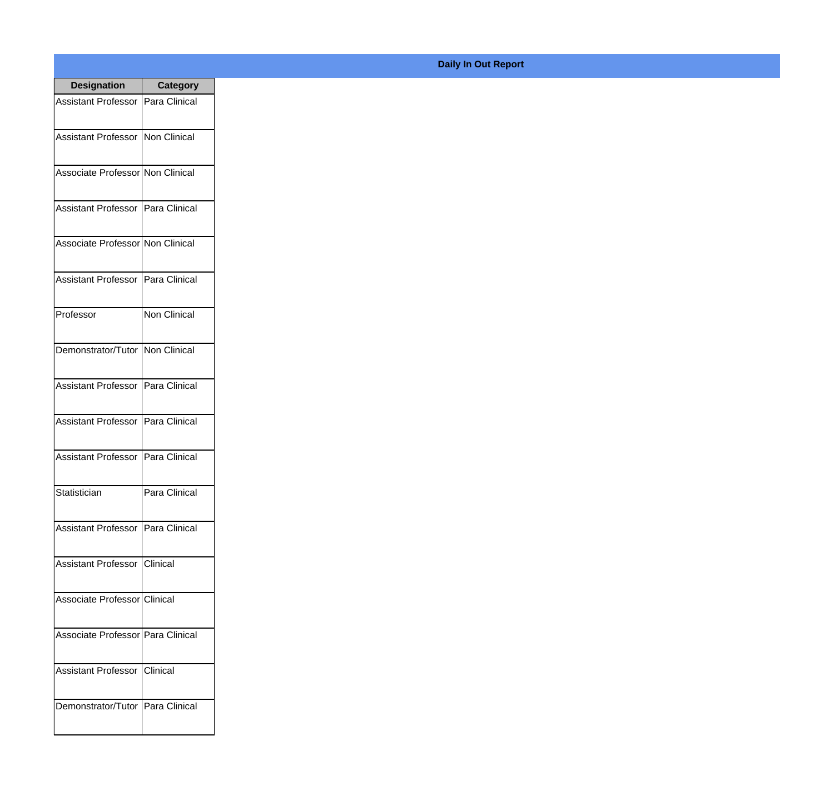| <b>Designation</b>                  | <b>Category</b>     |
|-------------------------------------|---------------------|
| <b>Assistant Professor</b>          | Para Clinical       |
| <b>Assistant Professor</b>          | Non Clinical        |
| Associate Professor Non Clinical    |                     |
| <b>Assistant Professor</b>          | Para Clinical       |
| Associate Professor Non Clinical    |                     |
| <b>Assistant Professor</b>          | Para Clinical       |
| Professor                           | <b>Non Clinical</b> |
| Demonstrator/Tutor   Non Clinical   |                     |
| <b>Assistant Professor</b>          | Para Clinical       |
| <b>Assistant Professor</b>          | Para Clinical       |
| <b>Assistant Professor</b>          | Para Clinical       |
| Statistician                        | Para Clinical       |
| Assistant Professor   Para Clinical |                     |
| Assistant Professor   Clinical      |                     |
| Associate Professor Clinical        |                     |
| Associate Professor   Para Clinical |                     |
| <b>Assistant Professor</b>          | IClinical           |
| Demonstrator/Tutor   Para Clinical  |                     |

## **Daily In Out Report**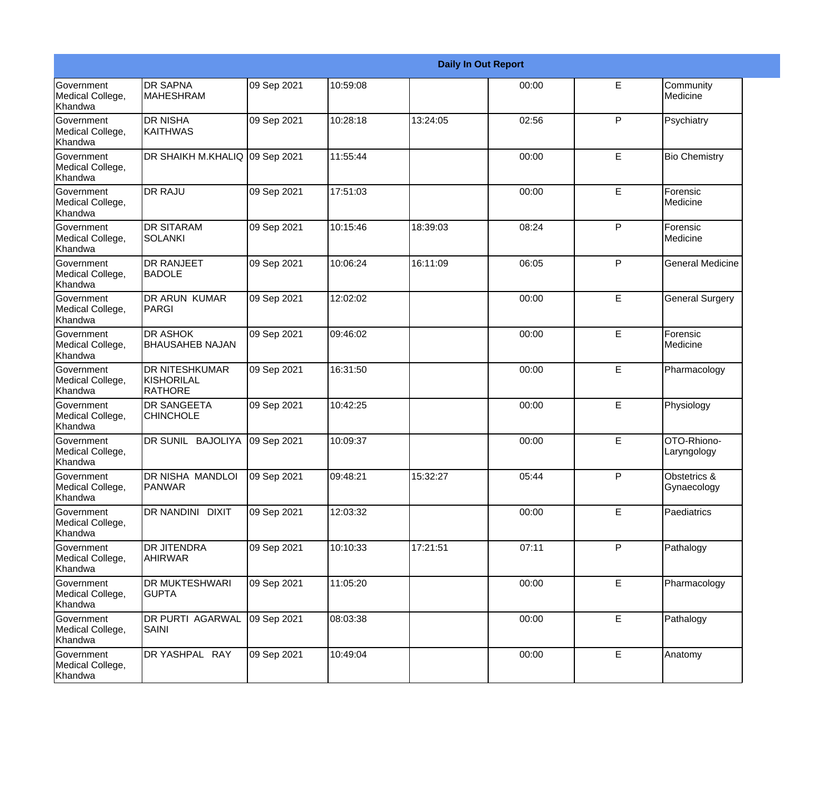|                                                  |                                                       |             |          |          | <b>Daily In Out Report</b> |   |                             |
|--------------------------------------------------|-------------------------------------------------------|-------------|----------|----------|----------------------------|---|-----------------------------|
| Government<br>Medical College,<br>Khandwa        | <b>DR SAPNA</b><br><b>MAHESHRAM</b>                   | 09 Sep 2021 | 10:59:08 |          | 00:00                      | E | Community<br>Medicine       |
| Government<br>Medical College,<br>Khandwa        | <b>DR NISHA</b><br><b>KAITHWAS</b>                    | 09 Sep 2021 | 10:28:18 | 13:24:05 | 02:56                      | P | Psychiatry                  |
| Government<br>Medical College,<br>Khandwa        | DR SHAIKH M.KHALIQ 09 Sep 2021                        |             | 11:55:44 |          | 00:00                      | E | <b>Bio Chemistry</b>        |
| Government<br>Medical College,<br>Khandwa        | <b>DR RAJU</b>                                        | 09 Sep 2021 | 17:51:03 |          | 00:00                      | E | Forensic<br>Medicine        |
| <b>Government</b><br>Medical College,<br>Khandwa | <b>DR SITARAM</b><br><b>SOLANKI</b>                   | 09 Sep 2021 | 10:15:46 | 18:39:03 | 08:24                      | P | Forensic<br>Medicine        |
| Government<br>Medical College,<br>Khandwa        | <b>DR RANJEET</b><br><b>BADOLE</b>                    | 09 Sep 2021 | 10:06:24 | 16:11:09 | 06:05                      | P | <b>General Medicine</b>     |
| <b>Government</b><br>Medical College,<br>Khandwa | <b>DR ARUN KUMAR</b><br>PARGI                         | 09 Sep 2021 | 12:02:02 |          | 00:00                      | E | <b>General Surgery</b>      |
| Government<br>Medical College,<br>Khandwa        | <b>DR ASHOK</b><br><b>BHAUSAHEB NAJAN</b>             | 09 Sep 2021 | 09:46:02 |          | 00:00                      | E | Forensic<br>Medicine        |
| Government<br>Medical College,<br>Khandwa        | <b>DR NITESHKUMAR</b><br>KISHORILAL<br><b>RATHORE</b> | 09 Sep 2021 | 16:31:50 |          | 00:00                      | E | Pharmacology                |
| <b>Government</b><br>Medical College,<br>Khandwa | <b>DR SANGEETA</b><br><b>CHINCHOLE</b>                | 09 Sep 2021 | 10:42:25 |          | 00:00                      | E | Physiology                  |
| Government<br>Medical College,<br>Khandwa        | DR SUNIL BAJOLIYA                                     | 09 Sep 2021 | 10:09:37 |          | 00:00                      | E | OTO-Rhiono-<br>Laryngology  |
| Government<br>Medical College,<br>Khandwa        | DR NISHA MANDLOI<br><b>PANWAR</b>                     | 09 Sep 2021 | 09:48:21 | 15:32:27 | 05:44                      | P | Obstetrics &<br>Gynaecology |
| Government<br>Medical College,<br>Khandwa        | DR NANDINI DIXIT                                      | 09 Sep 2021 | 12:03:32 |          | 00:00                      | E | Paediatrics                 |
| Government<br>Medical College,<br>Khandwa        | <b>DR JITENDRA</b><br>AHIRWAR                         | 09 Sep 2021 | 10:10:33 | 17:21:51 | 07:11                      | P | Pathalogy                   |
| Government<br>Medical College,<br>Khandwa        | <b>DR MUKTESHWARI</b><br><b>GUPTA</b>                 | 09 Sep 2021 | 11:05:20 |          | 00:00                      | E | Pharmacology                |
| Government<br>Medical College,<br>Khandwa        | DR PURTI AGARWAL<br>SAINI                             | 09 Sep 2021 | 08:03:38 |          | 00:00                      | E | Pathalogy                   |
| Government<br>Medical College,<br>Khandwa        | DR YASHPAL RAY                                        | 09 Sep 2021 | 10:49:04 |          | 00:00                      | E | Anatomy                     |